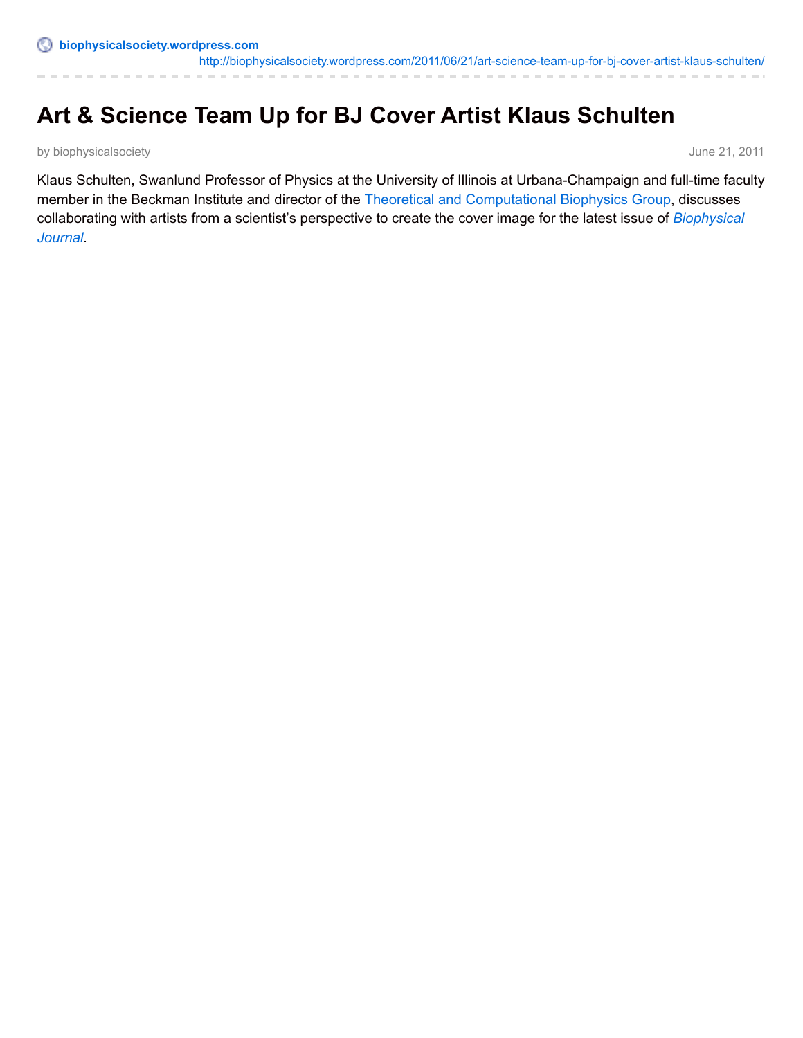# **Art & Science Team Up for BJ Cover Artist Klaus Schulten**

by biophysicalsociety **June 21, 2011** 

Klaus Schulten, Swanlund Professor of Physics at the University of Illinois at Urbana-Champaign and full-time faculty member in the Beckman Institute and director of the Theoretical and [Computational](http://www.ks.uiuc.edu/) Biophysics Group, discusses [collaborating](http://www.cell.com/biophysj/) with artists from a scientist's perspective to create the cover image for the latest issue of *Biophysical Journal.*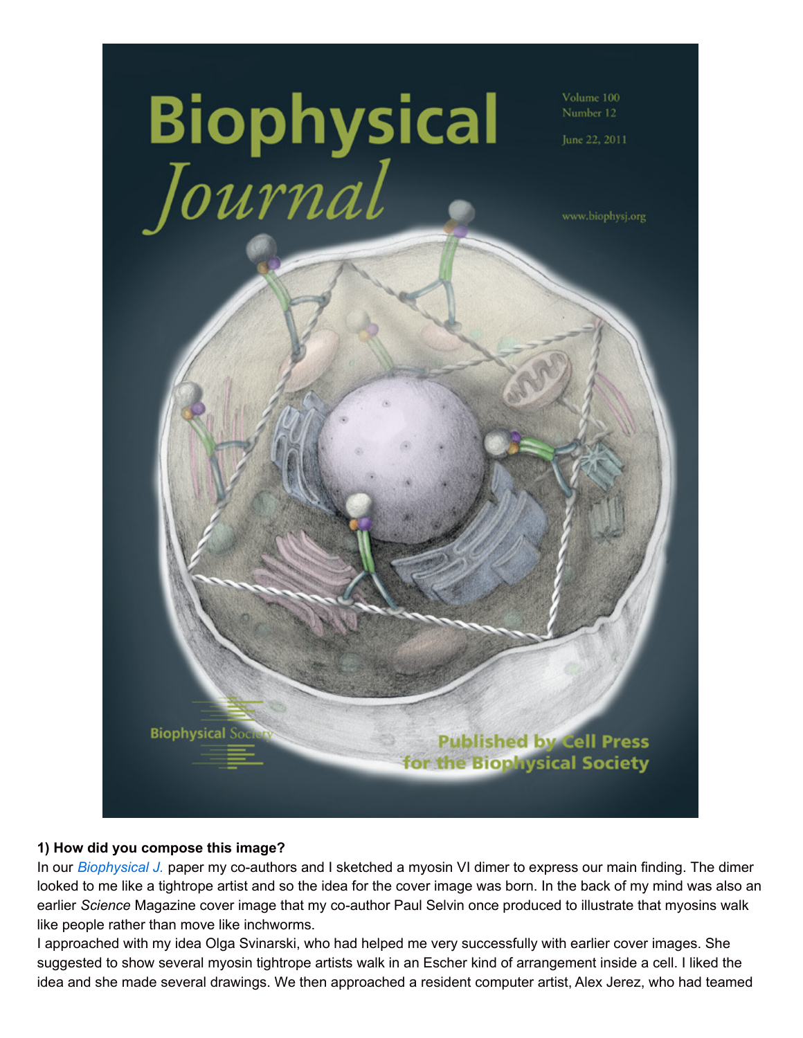

## **1) How did you compose this image?**

In our *[Biophysical](http://www.cell.com/biophysj/) J.* paper my co-authors and I sketched a myosin VI dimer to express our main finding. The dimer looked to me like a tightrope artist and so the idea for the cover image was born. In the back of my mind was also an earlier *Science* Magazine cover image that my co-author Paul Selvin once produced to illustrate that myosins walk like people rather than move like inchworms.

I approached with my idea Olga Svinarski, who had helped me very successfully with earlier cover images. She suggested to show several myosin tightrope artists walk in an Escher kind of arrangement inside a cell. I liked the idea and she made several drawings. We then approached a resident computer artist, Alex Jerez, who had teamed